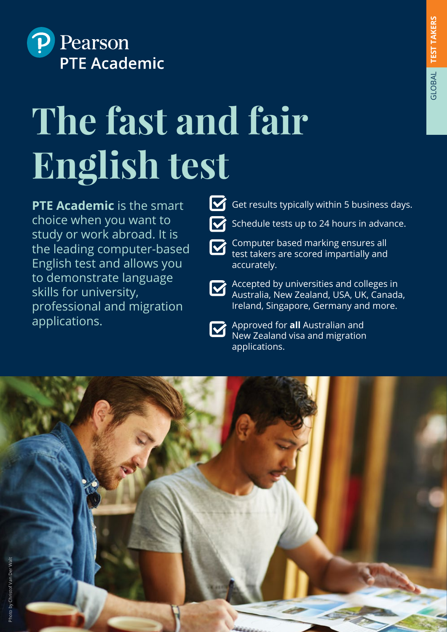

# **The fast and fair English test**

**PTE Academic** is the smart choice when you want to study or work abroad. It is the leading computer-based English test and allows you to demonstrate language skills for university, professional and migration applications.



 $\triangleright$  Schedule tests up to 24 hours in advance.

- Computer based marking ensures all test takers are scored impartially and accurately.
- 

**Accepted by universities and colleges in** Australia, New Zealand, USA, UK, Canada, Ireland, Singapore, Germany and more.

- 
- **Approved for all Australian and** New Zealand visa and migration applications.